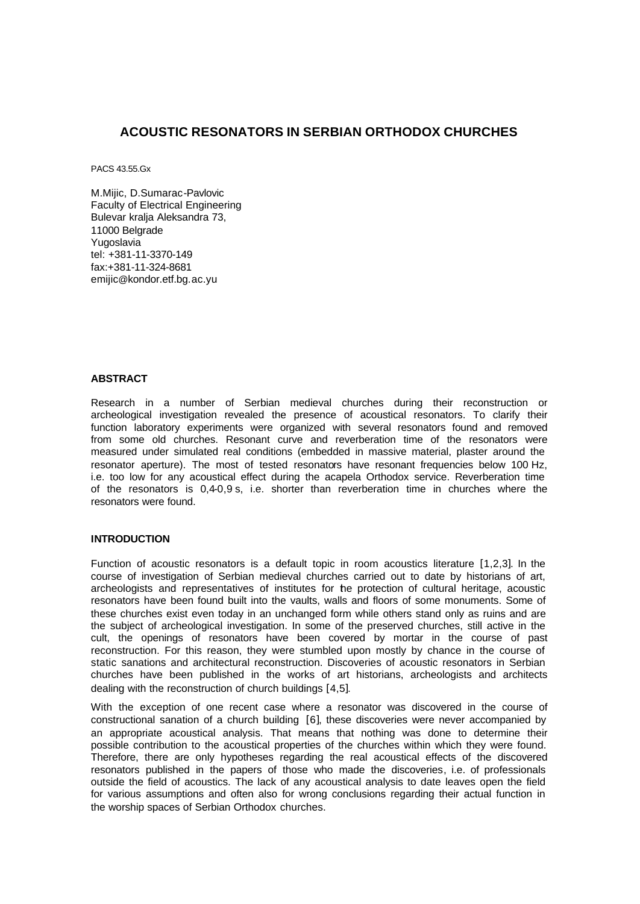# **ACOUSTIC RESONATORS IN SERBIAN ORTHODOX CHURCHES**

PACS 43.55.Gx

M.Mijic, D.Sumarac-Pavlovic Faculty of Electrical Engineering Bulevar kralja Aleksandra 73, 11000 Belgrade Yugoslavia tel: +381-11-3370-149 fax:+381-11-324-8681 emijic@kondor.etf.bg.ac.yu

## **ABSTRACT**

Research in a number of Serbian medieval churches during their reconstruction or archeological investigation revealed the presence of acoustical resonators. To clarify their function laboratory experiments were organized with several resonators found and removed from some old churches. Resonant curve and reverberation time of the resonators were measured under simulated real conditions (embedded in massive material, plaster around the resonator aperture). The most of tested resonators have resonant frequencies below 100 Hz, i.e. too low for any acoustical effect during the acapela Orthodox service. Reverberation time of the resonators is 0,4-0,9 s, i.e. shorter than reverberation time in churches where the resonators were found.

### **INTRODUCTION**

Function of acoustic resonators is a default topic in room acoustics literature [1,2,3]. In the course of investigation of Serbian medieval churches carried out to date by historians of art, archeologists and representatives of institutes for the protection of cultural heritage, acoustic resonators have been found built into the vaults, walls and floors of some monuments. Some of these churches exist even today in an unchanged form while others stand only as ruins and are the subject of archeological investigation. In some of the preserved churches, still active in the cult, the openings of resonators have been covered by mortar in the course of past reconstruction. For this reason, they were stumbled upon mostly by chance in the course of static sanations and architectural reconstruction. Discoveries of acoustic resonators in Serbian churches have been published in the works of art historians, archeologists and architects dealing with the reconstruction of church buildings [4,5].

With the exception of one recent case where a resonator was discovered in the course of constructional sanation of a church building [6], these discoveries were never accompanied by an appropriate acoustical analysis. That means that nothing was done to determine their possible contribution to the acoustical properties of the churches within which they were found. Therefore, there are only hypotheses regarding the real acoustical effects of the discovered resonators published in the papers of those who made the discoveries, i.e. of professionals outside the field of acoustics. The lack of any acoustical analysis to date leaves open the field for various assumptions and often also for wrong conclusions regarding their actual function in the worship spaces of Serbian Orthodox churches.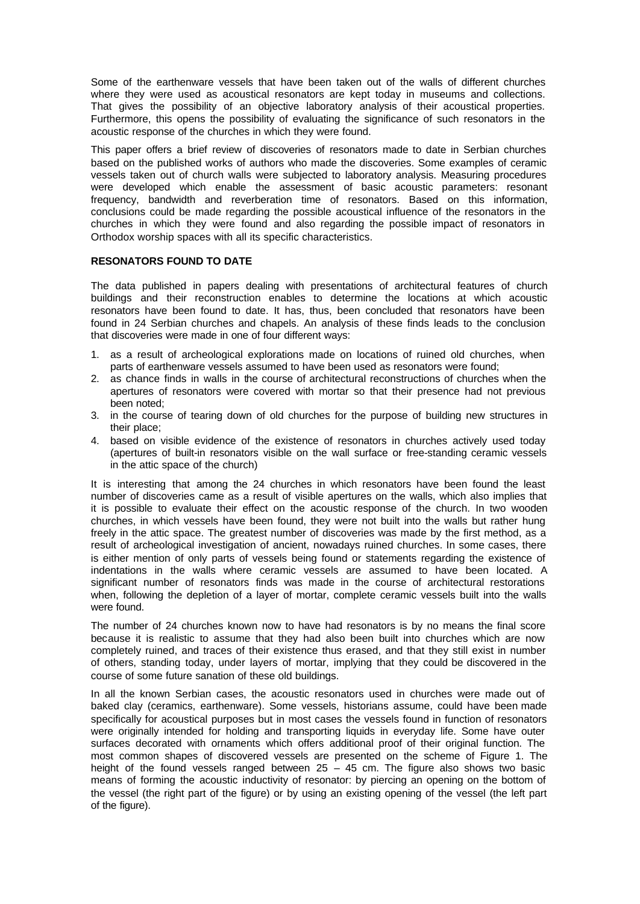Some of the earthenware vessels that have been taken out of the walls of different churches where they were used as acoustical resonators are kept today in museums and collections. That gives the possibility of an objective laboratory analysis of their acoustical properties. Furthermore, this opens the possibility of evaluating the significance of such resonators in the acoustic response of the churches in which they were found.

This paper offers a brief review of discoveries of resonators made to date in Serbian churches based on the published works of authors who made the discoveries. Some examples of ceramic vessels taken out of church walls were subjected to laboratory analysis. Measuring procedures were developed which enable the assessment of basic acoustic parameters: resonant frequency, bandwidth and reverberation time of resonators. Based on this information, conclusions could be made regarding the possible acoustical influence of the resonators in the churches in which they were found and also regarding the possible impact of resonators in Orthodox worship spaces with all its specific characteristics.

### **RESONATORS FOUND TO DATE**

The data published in papers dealing with presentations of architectural features of church buildings and their reconstruction enables to determine the locations at which acoustic resonators have been found to date. It has, thus, been concluded that resonators have been found in 24 Serbian churches and chapels. An analysis of these finds leads to the conclusion that discoveries were made in one of four different ways:

- 1. as a result of archeological explorations made on locations of ruined old churches, when parts of earthenware vessels assumed to have been used as resonators were found;
- 2. as chance finds in walls in the course of architectural reconstructions of churches when the apertures of resonators were covered with mortar so that their presence had not previous been noted;
- 3. in the course of tearing down of old churches for the purpose of building new structures in their place;
- 4. based on visible evidence of the existence of resonators in churches actively used today (apertures of built-in resonators visible on the wall surface or free-standing ceramic vessels in the attic space of the church)

It is interesting that among the 24 churches in which resonators have been found the least number of discoveries came as a result of visible apertures on the walls, which also implies that it is possible to evaluate their effect on the acoustic response of the church. In two wooden churches, in which vessels have been found, they were not built into the walls but rather hung freely in the attic space. The greatest number of discoveries was made by the first method, as a result of archeological investigation of ancient, nowadays ruined churches. In some cases, there is either mention of only parts of vessels being found or statements regarding the existence of indentations in the walls where ceramic vessels are assumed to have been located. A significant number of resonators finds was made in the course of architectural restorations when, following the depletion of a layer of mortar, complete ceramic vessels built into the walls were found.

The number of 24 churches known now to have had resonators is by no means the final score because it is realistic to assume that they had also been built into churches which are now completely ruined, and traces of their existence thus erased, and that they still exist in number of others, standing today, under layers of mortar, implying that they could be discovered in the course of some future sanation of these old buildings.

In all the known Serbian cases, the acoustic resonators used in churches were made out of baked clay (ceramics, earthenware). Some vessels, historians assume, could have been made specifically for acoustical purposes but in most cases the vessels found in function of resonators were originally intended for holding and transporting liquids in everyday life. Some have outer surfaces decorated with ornaments which offers additional proof of their original function. The most common shapes of discovered vessels are presented on the scheme of Figure 1. The height of the found vessels ranged between  $25 - 45$  cm. The figure also shows two basic means of forming the acoustic inductivity of resonator: by piercing an opening on the bottom of the vessel (the right part of the figure) or by using an existing opening of the vessel (the left part of the figure).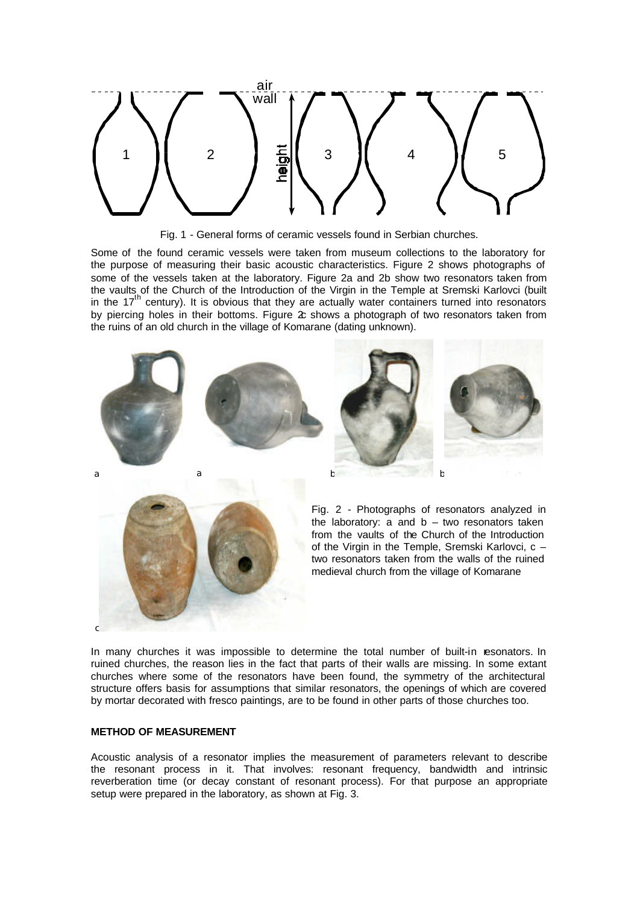

Fig. 1 - General forms of ceramic vessels found in Serbian churches.

Some of the found ceramic vessels were taken from museum collections to the laboratory for the purpose of measuring their basic acoustic characteristics. Figure 2 shows photographs of some of the vessels taken at the laboratory. Figure 2a and 2b show two resonators taken from the vaults of the Church of the Introduction of the Virgin in the Temple at Sremski Karlovci (built in the  $17<sup>th</sup>$  century). It is obvious that they are actually water containers turned into resonators by piercing holes in their bottoms. Figure  $2c$  shows a photograph of two resonators taken from the ruins of an old church in the village of Komarane (dating unknown).



In many churches it was impossible to determine the total number of built-in resonators. In ruined churches, the reason lies in the fact that parts of their walls are missing. In some extant churches where some of the resonators have been found, the symmetry of the architectural structure offers basis for assumptions that similar resonators, the openings of which are covered by mortar decorated with fresco paintings, are to be found in other parts of those churches too.

#### **METHOD OF MEASUREMENT**

c

Acoustic analysis of a resonator implies the measurement of parameters relevant to describe the resonant process in it. That involves: resonant frequency, bandwidth and intrinsic reverberation time (or decay constant of resonant process). For that purpose an appropriate setup were prepared in the laboratory, as shown at Fig. 3.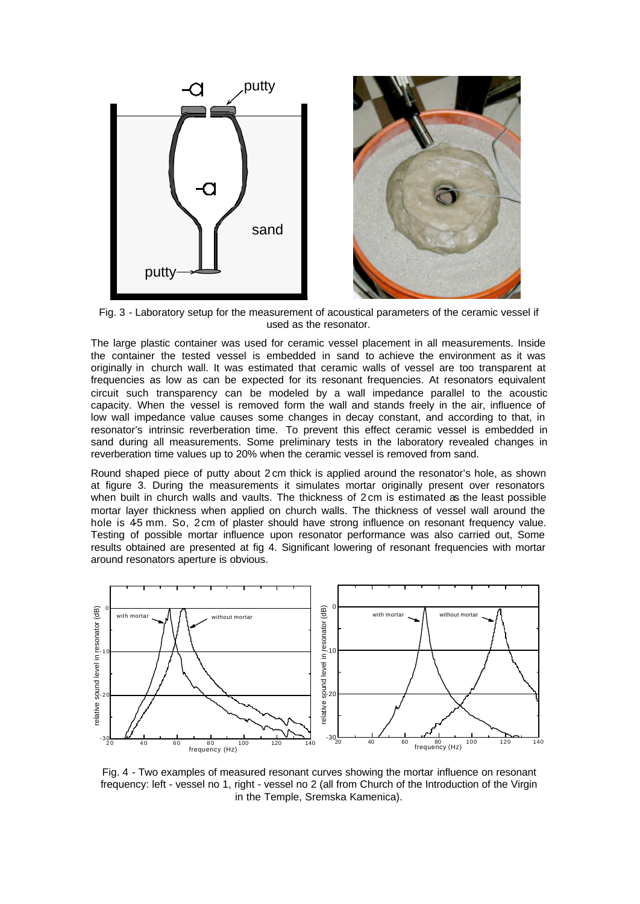

Fig. 3 - Laboratory setup for the measurement of acoustical parameters of the ceramic vessel if used as the resonator.

The large plastic container was used for ceramic vessel placement in all measurements. Inside the container the tested vessel is embedded in sand to achieve the environment as it was originally in church wall. It was estimated that ceramic walls of vessel are too transparent at frequencies as low as can be expected for its resonant frequencies. At resonators equivalent circuit such transparency can be modeled by a wall impedance parallel to the acoustic capacity. When the vessel is removed form the wall and stands freely in the air, influence of low wall impedance value causes some changes in decay constant, and according to that, in resonator's intrinsic reverberation time. To prevent this effect ceramic vessel is embedded in sand during all measurements. Some preliminary tests in the laboratory revealed changes in reverberation time values up to 20% when the ceramic vessel is removed from sand.

Round shaped piece of putty about 2 cm thick is applied around the resonator's hole, as shown at figure 3. During the measurements it simulates mortar originally present over resonators when built in church walls and vaults. The thickness of 2 cm is estimated as the least possible mortar layer thickness when applied on church walls. The thickness of vessel wall around the hole is 45 mm. So, 2cm of plaster should have strong influence on resonant frequency value. Testing of possible mortar influence upon resonator performance was also carried out, Some results obtained are presented at fig 4. Significant lowering of resonant frequencies with mortar around resonators aperture is obvious.



Fig. 4 - Two examples of measured resonant curves showing the mortar influence on resonant frequency: left - vessel no 1, right - vessel no 2 (all from Church of the Introduction of the Virgin in the Temple, Sremska Kamenica).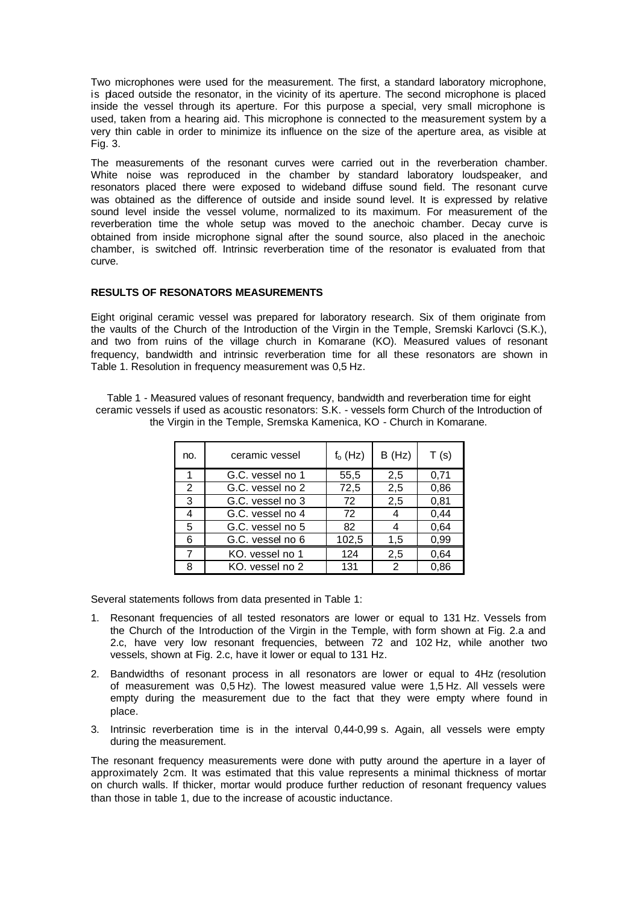Two microphones were used for the measurement. The first, a standard laboratory microphone, is placed outside the resonator, in the vicinity of its aperture. The second microphone is placed inside the vessel through its aperture. For this purpose a special, very small microphone is used, taken from a hearing aid. This microphone is connected to the measurement system by a very thin cable in order to minimize its influence on the size of the aperture area, as visible at Fig. 3.

The measurements of the resonant curves were carried out in the reverberation chamber. White noise was reproduced in the chamber by standard laboratory loudspeaker, and resonators placed there were exposed to wideband diffuse sound field. The resonant curve was obtained as the difference of outside and inside sound level. It is expressed by relative sound level inside the vessel volume, normalized to its maximum. For measurement of the reverberation time the whole setup was moved to the anechoic chamber. Decay curve is obtained from inside microphone signal after the sound source, also placed in the anechoic chamber, is switched off. Intrinsic reverberation time of the resonator is evaluated from that curve.

### **RESULTS OF RESONATORS MEASUREMENTS**

Eight original ceramic vessel was prepared for laboratory research. Six of them originate from the vaults of the Church of the Introduction of the Virgin in the Temple, Sremski Karlovci (S.K.), and two from ruins of the village church in Komarane (KO). Measured values of resonant frequency, bandwidth and intrinsic reverberation time for all these resonators are shown in Table 1. Resolution in frequency measurement was 0,5 Hz.

| Table 1 - Measured values of resonant frequency, bandwidth and reverberation time for eight       |
|---------------------------------------------------------------------------------------------------|
| ceramic vessels if used as acoustic resonators: S.K. - vessels form Church of the Introduction of |
| the Virgin in the Temple, Sremska Kamenica, KO - Church in Komarane.                              |

| no. | ceramic vessel   | $f_o$ (Hz) | B(Hz)         | T(s) |
|-----|------------------|------------|---------------|------|
|     | G.C. vessel no 1 | 55,5       | 2,5           | 0,71 |
| 2   | G.C. vessel no 2 | 72,5       | 2,5           | 0,86 |
| 3   | G.C. vessel no 3 | 72         | 2,5           | 0,81 |
|     | G.C. vessel no 4 | 72         |               | 0,44 |
| 5   | G.C. vessel no 5 | 82         |               | 0,64 |
| 6   | G.C. vessel no 6 | 102,5      | 1,5           | 0,99 |
|     | KO, vessel no 1  | 124        | 2,5           | 0.64 |
| 8   | KO. vessel no 2  | 131        | $\mathcal{P}$ | 0.86 |

Several statements follows from data presented in Table 1:

- 1. Resonant frequencies of all tested resonators are lower or equal to 131 Hz. Vessels from the Church of the Introduction of the Virgin in the Temple, with form shown at Fig. 2.a and 2.c, have very low resonant frequencies, between 72 and 102 Hz, while another two vessels, shown at Fig. 2.c, have it lower or equal to 131 Hz.
- 2. Bandwidths of resonant process in all resonators are lower or equal to 4Hz (resolution of measurement was 0,5 Hz). The lowest measured value were 1,5 Hz. All vessels were empty during the measurement due to the fact that they were empty where found in place.
- 3. Intrinsic reverberation time is in the interval 0,44-0,99 s. Again, all vessels were empty during the measurement.

The resonant frequency measurements were done with putty around the aperture in a layer of approximately 2cm. It was estimated that this value represents a minimal thickness of mortar on church walls. If thicker, mortar would produce further reduction of resonant frequency values than those in table 1, due to the increase of acoustic inductance.